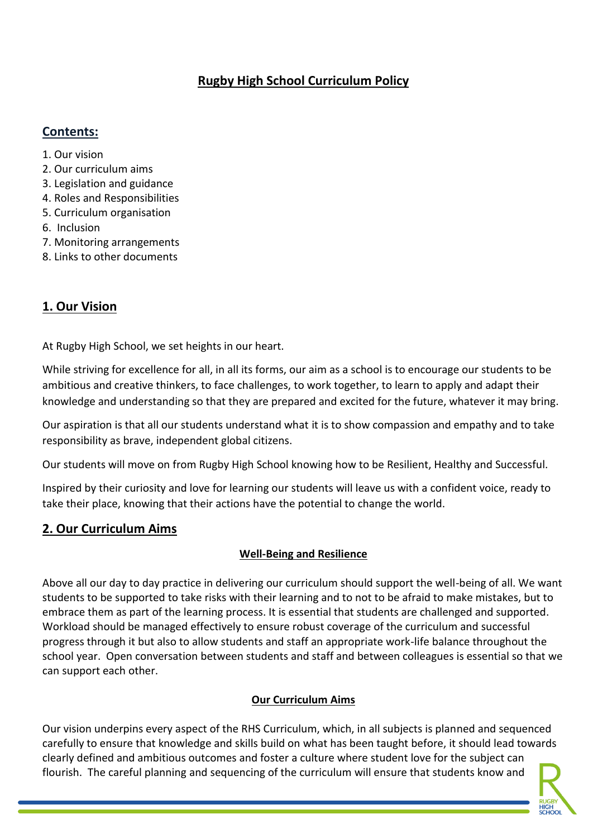# **Rugby High School Curriculum Policy**

#### **Contents:**

- 1. Our vision
- 2. Our curriculum aims
- 3. Legislation and guidance
- 4. Roles and Responsibilities
- 5. Curriculum organisation
- 6. Inclusion
- 7. Monitoring arrangements
- 8. Links to other documents

# **1. Our Vision**

At Rugby High School, we set heights in our heart.

While striving for excellence for all, in all its forms, our aim as a school is to encourage our students to be ambitious and creative thinkers, to face challenges, to work together, to learn to apply and adapt their knowledge and understanding so that they are prepared and excited for the future, whatever it may bring.

Our aspiration is that all our students understand what it is to show compassion and empathy and to take responsibility as brave, independent global citizens.

Our students will move on from Rugby High School knowing how to be Resilient, Healthy and Successful.

Inspired by their curiosity and love for learning our students will leave us with a confident voice, ready to take their place, knowing that their actions have the potential to change the world.

## **2. Our Curriculum Aims**

#### **Well-Being and Resilience**

Above all our day to day practice in delivering our curriculum should support the well-being of all. We want students to be supported to take risks with their learning and to not to be afraid to make mistakes, but to embrace them as part of the learning process. It is essential that students are challenged and supported. Workload should be managed effectively to ensure robust coverage of the curriculum and successful progress through it but also to allow students and staff an appropriate work-life balance throughout the school year. Open conversation between students and staff and between colleagues is essential so that we can support each other.

#### **Our Curriculum Aims**

Our vision underpins every aspect of the RHS Curriculum, which, in all subjects is planned and sequenced carefully to ensure that knowledge and skills build on what has been taught before, it should lead towards clearly defined and ambitious outcomes and foster a culture where student love for the subject can flourish. The careful planning and sequencing of the curriculum will ensure that students know and

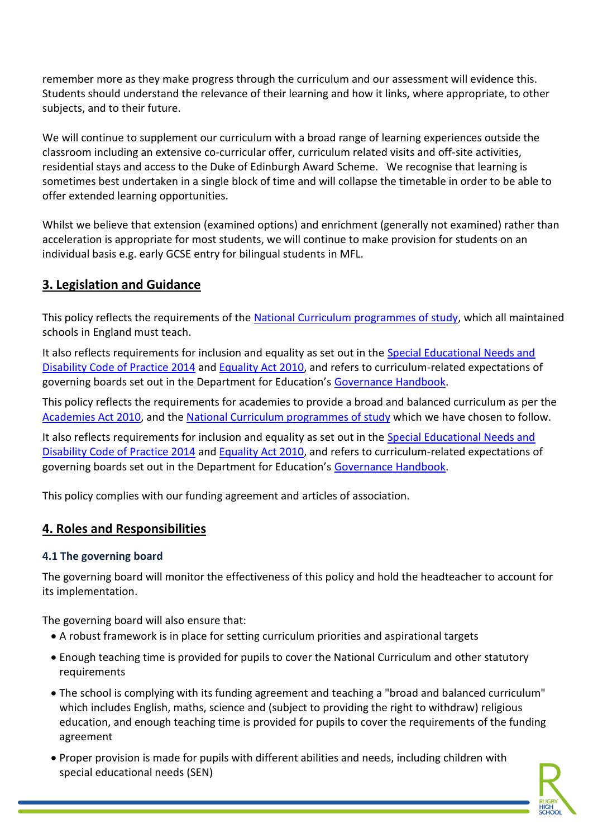remember more as they make progress through the curriculum and our assessment will evidence this. Students should understand the relevance of their learning and how it links, where appropriate, to other subjects, and to their future.

We will continue to supplement our curriculum with a broad range of learning experiences outside the classroom including an extensive co-curricular offer, curriculum related visits and off-site activities, residential stays and access to the Duke of Edinburgh Award Scheme. We recognise that learning is sometimes best undertaken in a single block of time and will collapse the timetable in order to be able to offer extended learning opportunities.

Whilst we believe that extension (examined options) and enrichment (generally not examined) rather than acceleration is appropriate for most students, we will continue to make provision for students on an individual basis e.g. early GCSE entry for bilingual students in MFL.

## **3. Legislation and Guidance**

This policy reflects the requirements of the [National Curriculum programmes of study,](https://www.gov.uk/government/collections/national-curriculum) which all maintained schools in England must teach.

It also reflects requirements for inclusion and equality as set out in the Special Educational Needs and [Disability Code of Practice 2014](https://www.gov.uk/government/publications/send-code-of-practice-0-to-25) and [Equality Act 2010,](http://www.legislation.gov.uk/ukpga/2010/15/part/6/chapter/1) and refers to curriculum-related expectations of governing boards set out in the Department for Education's [Governance Handbook.](https://www.gov.uk/government/publications/governance-handbook)

This policy reflects the requirements for academies to provide a broad and balanced curriculum as per the [Academies Act 2010,](http://www.legislation.gov.uk/ukpga/2010/32/section/1A) and the [National Curriculum programmes of study](https://www.gov.uk/government/collections/national-curriculum) which we have chosen to follow.

It also reflects requirements for inclusion and equality as set out in the [Special Educational Needs and](https://www.gov.uk/government/publications/send-code-of-practice-0-to-25)  [Disability Code of Practice 2014](https://www.gov.uk/government/publications/send-code-of-practice-0-to-25) and [Equality Act 2010,](http://www.legislation.gov.uk/ukpga/2010/15/part/6/chapter/1) and refers to curriculum-related expectations of governing boards set out in the Department for Education's [Governance Handbook.](https://www.gov.uk/government/publications/governance-handbook)

This policy complies with our funding agreement and articles of association.

## **4. Roles and Responsibilities**

#### **4.1 The governing board**

The governing board will monitor the effectiveness of this policy and hold the headteacher to account for its implementation.

The governing board will also ensure that:

- A robust framework is in place for setting curriculum priorities and aspirational targets
- Enough teaching time is provided for pupils to cover the National Curriculum and other statutory requirements
- The school is complying with its funding agreement and teaching a "broad and balanced curriculum" which includes English, maths, science and (subject to providing the right to withdraw) religious education, and enough teaching time is provided for pupils to cover the requirements of the funding agreement
- Proper provision is made for pupils with different abilities and needs, including children with special educational needs (SEN)

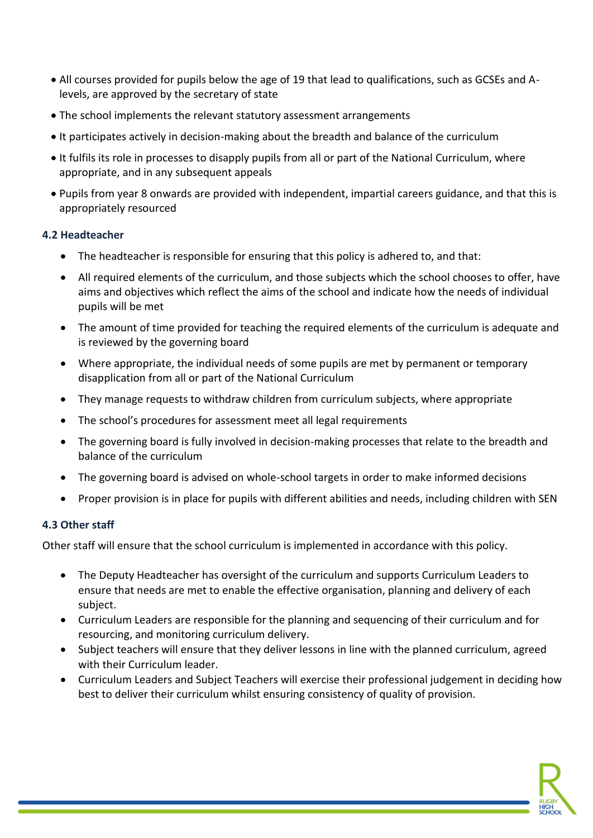- All courses provided for pupils below the age of 19 that lead to qualifications, such as GCSEs and Alevels, are approved by the secretary of state
- The school implements the relevant statutory assessment arrangements
- It participates actively in decision-making about the breadth and balance of the curriculum
- It fulfils its role in processes to disapply pupils from all or part of the National Curriculum, where appropriate, and in any subsequent appeals
- Pupils from year 8 onwards are provided with independent, impartial careers guidance, and that this is appropriately resourced

#### **4.2 Headteacher**

- The headteacher is responsible for ensuring that this policy is adhered to, and that:
- All required elements of the curriculum, and those subjects which the school chooses to offer, have aims and objectives which reflect the aims of the school and indicate how the needs of individual pupils will be met
- The amount of time provided for teaching the required elements of the curriculum is adequate and is reviewed by the governing board
- Where appropriate, the individual needs of some pupils are met by permanent or temporary disapplication from all or part of the National Curriculum
- They manage requests to withdraw children from curriculum subjects, where appropriate
- The school's procedures for assessment meet all legal requirements
- The governing board is fully involved in decision-making processes that relate to the breadth and balance of the curriculum
- The governing board is advised on whole-school targets in order to make informed decisions
- Proper provision is in place for pupils with different abilities and needs, including children with SEN

#### **4.3 Other staff**

Other staff will ensure that the school curriculum is implemented in accordance with this policy.

- The Deputy Headteacher has oversight of the curriculum and supports Curriculum Leaders to ensure that needs are met to enable the effective organisation, planning and delivery of each subject.
- Curriculum Leaders are responsible for the planning and sequencing of their curriculum and for resourcing, and monitoring curriculum delivery.
- Subject teachers will ensure that they deliver lessons in line with the planned curriculum, agreed with their Curriculum leader.
- Curriculum Leaders and Subject Teachers will exercise their professional judgement in deciding how best to deliver their curriculum whilst ensuring consistency of quality of provision.

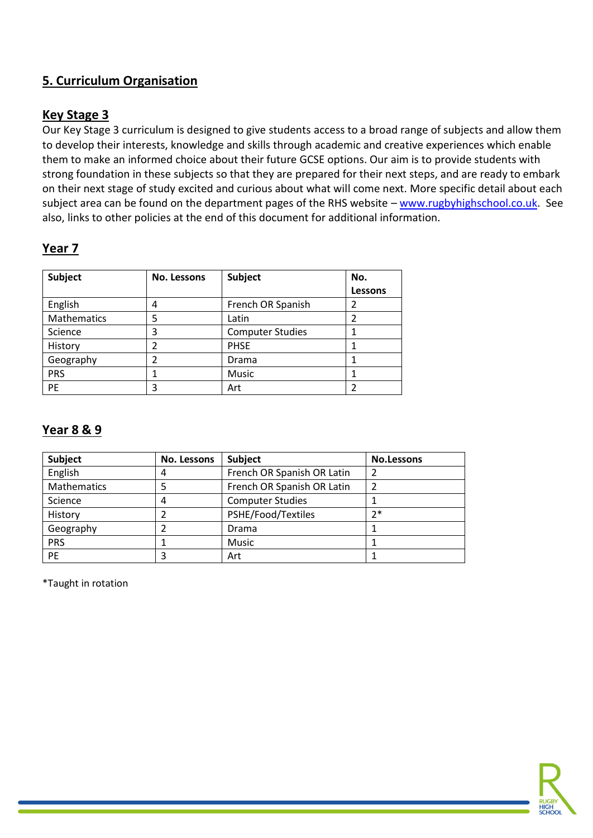# **5. Curriculum Organisation**

## **Key Stage 3**

Our Key Stage 3 curriculum is designed to give students access to a broad range of subjects and allow them to develop their interests, knowledge and skills through academic and creative experiences which enable them to make an informed choice about their future GCSE options. Our aim is to provide students with strong foundation in these subjects so that they are prepared for their next steps, and are ready to embark on their next stage of study excited and curious about what will come next. More specific detail about each subject area can be found on the department pages of the RHS website – [www.rugbyhighschool.co.uk.](http://www.rugbyhighschool.co.uk/) See also, links to other policies at the end of this document for additional information.

# **Year 7**

| <b>Subject</b> | <b>No. Lessons</b> | <b>Subject</b>          | No.     |
|----------------|--------------------|-------------------------|---------|
|                |                    |                         | Lessons |
| English        | 4                  | French OR Spanish       | 2       |
| Mathematics    | 5                  | Latin                   | 2       |
| Science        | 3                  | <b>Computer Studies</b> |         |
| History        | າ                  | <b>PHSE</b>             |         |
| Geography      |                    | Drama                   |         |
| <b>PRS</b>     |                    | Music                   |         |
| PE             | 3                  | Art                     |         |

## **Year 8 & 9**

| <b>Subject</b> | No. Lessons | <b>Subject</b>             | <b>No.Lessons</b> |
|----------------|-------------|----------------------------|-------------------|
| English        | 4           | French OR Spanish OR Latin | 2                 |
| Mathematics    |             | French OR Spanish OR Latin |                   |
| Science        | 4           | <b>Computer Studies</b>    |                   |
| History        |             | PSHE/Food/Textiles         | $7*$              |
| Geography      |             | Drama                      |                   |
| <b>PRS</b>     |             | Music                      |                   |
| <b>PE</b>      | 3           | Art                        |                   |

\*Taught in rotation

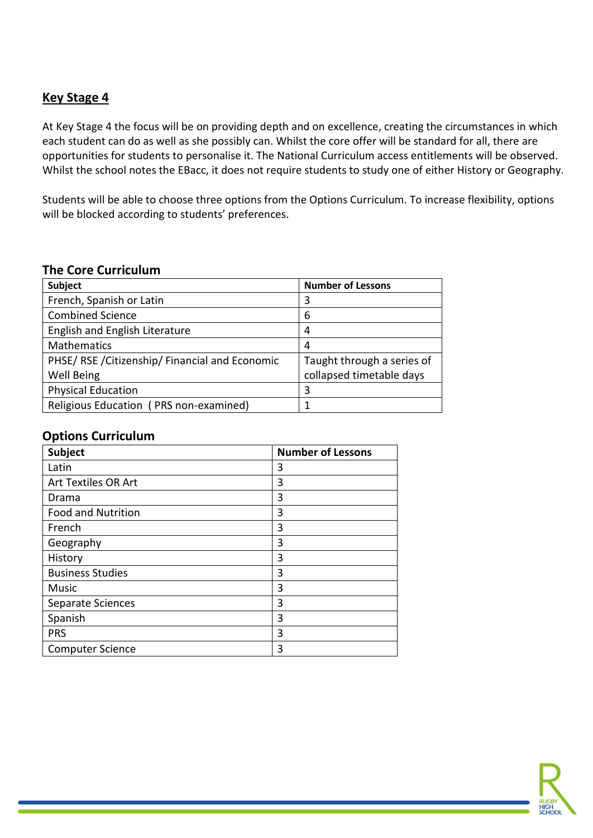## **Key Stage 4**

At Key Stage 4 the focus will be on providing depth and on excellence, creating the circumstances in which each student can do as well as she possibly can. Whilst the core offer will be standard for all, there are opportunities for students to personalise it. The National Curriculum access entitlements will be observed. Whilst the school notes the EBacc, it does not require students to study one of either History or Geography.

Students will be able to choose three options from the Options Curriculum. To increase flexibility, options will be blocked according to students' preferences.

#### **The Core Curriculum**

| <b>Subject</b>                              | <b>Number of Lessons</b>   |
|---------------------------------------------|----------------------------|
| French, Spanish or Latin                    | 3                          |
| <b>Combined Science</b>                     | 6                          |
| English and English Literature              | 4                          |
| <b>Mathematics</b>                          | 4                          |
| PHSE/RSE/Citizenship/Financial and Economic | Taught through a series of |
| <b>Well Being</b>                           | collapsed timetable days   |
| <b>Physical Education</b>                   | 3                          |
| Religious Education (PRS non-examined)      |                            |

#### **Options Curriculum**

| Subject                   | <b>Number of Lessons</b> |
|---------------------------|--------------------------|
| Latin                     | 3                        |
| Art Textiles OR Art       | 3                        |
| Drama                     | 3                        |
| <b>Food and Nutrition</b> | 3                        |
| French                    | 3                        |
| Geography                 | 3                        |
| History                   | 3                        |
| <b>Business Studies</b>   | 3                        |
| Music                     | 3                        |
| Separate Sciences         | 3                        |
| Spanish                   | 3                        |
| <b>PRS</b>                | 3                        |
| <b>Computer Science</b>   | 3                        |

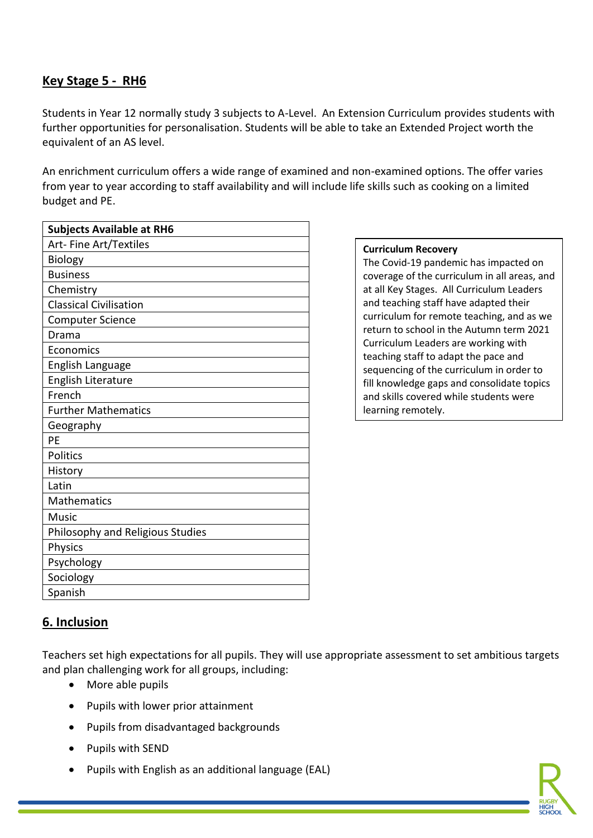## **Key Stage 5 - RH6**

Students in Year 12 normally study 3 subjects to A-Level. An Extension Curriculum provides students with further opportunities for personalisation. Students will be able to take an Extended Project worth the equivalent of an AS level.

An enrichment curriculum offers a wide range of examined and non-examined options. The offer varies from year to year according to staff availability and will include life skills such as cooking on a limited budget and PE.

| <b>Subjects Available at RH6</b> |
|----------------------------------|
| Art-Fine Art/Textiles            |
| <b>Biology</b>                   |
| <b>Business</b>                  |
| Chemistry                        |
| <b>Classical Civilisation</b>    |
| <b>Computer Science</b>          |
| Drama                            |
| Economics                        |
| English Language                 |
| <b>English Literature</b>        |
| French                           |
| <b>Further Mathematics</b>       |
| Geography                        |
| PE                               |
| Politics                         |
| History                          |
| Latin                            |
| <b>Mathematics</b>               |
| Music                            |
| Philosophy and Religious Studies |
| Physics                          |
| Psychology                       |
| Sociology                        |
| Spanish                          |

#### **Curriculum Recovery**

The Covid-19 pandemic has impacted on coverage of the curriculum in all areas, and at all Key Stages. All Curriculum Leaders and teaching staff have adapted their curriculum for remote teaching, and as we return to school in the Autumn term 2021 Curriculum Leaders are working with teaching staff to adapt the pace and sequencing of the curriculum in order to fill knowledge gaps and consolidate topics and skills covered while students were learning remotely.

## **6. Inclusion**

Teachers set high expectations for all pupils. They will use appropriate assessment to set ambitious targets and plan challenging work for all groups, including:

- More able pupils
- Pupils with lower prior attainment
- Pupils from disadvantaged backgrounds
- Pupils with SEND
- Pupils with English as an additional language (EAL)

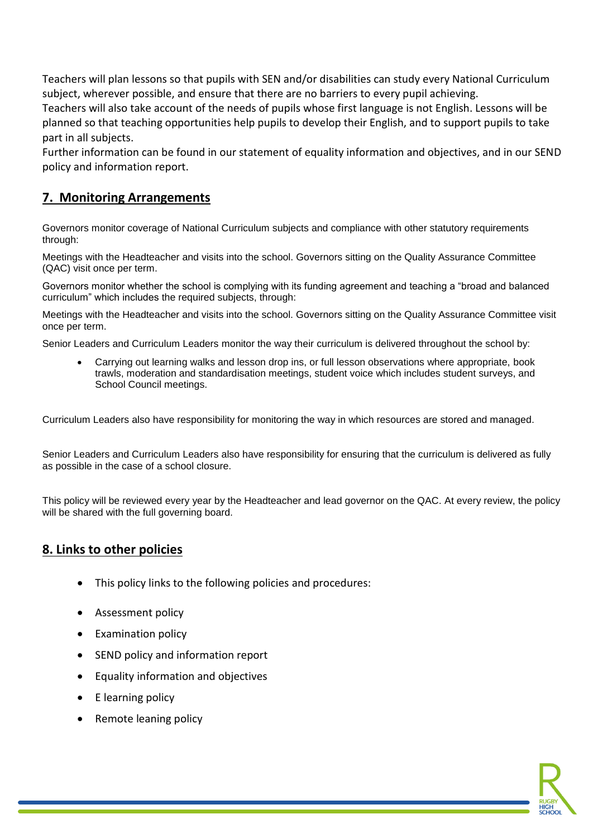Teachers will plan lessons so that pupils with SEN and/or disabilities can study every National Curriculum subject, wherever possible, and ensure that there are no barriers to every pupil achieving.

Teachers will also take account of the needs of pupils whose first language is not English. Lessons will be planned so that teaching opportunities help pupils to develop their English, and to support pupils to take part in all subjects.

Further information can be found in our statement of equality information and objectives, and in our SEND policy and information report.

## **7. Monitoring Arrangements**

Governors monitor coverage of National Curriculum subjects and compliance with other statutory requirements through:

Meetings with the Headteacher and visits into the school. Governors sitting on the Quality Assurance Committee (QAC) visit once per term.

Governors monitor whether the school is complying with its funding agreement and teaching a "broad and balanced curriculum" which includes the required subjects, through:

Meetings with the Headteacher and visits into the school. Governors sitting on the Quality Assurance Committee visit once per term.

Senior Leaders and Curriculum Leaders monitor the way their curriculum is delivered throughout the school by:

• Carrying out learning walks and lesson drop ins, or full lesson observations where appropriate, book trawls, moderation and standardisation meetings, student voice which includes student surveys, and School Council meetings.

Curriculum Leaders also have responsibility for monitoring the way in which resources are stored and managed.

Senior Leaders and Curriculum Leaders also have responsibility for ensuring that the curriculum is delivered as fully as possible in the case of a school closure.

This policy will be reviewed every year by the Headteacher and lead governor on the QAC. At every review, the policy will be shared with the full governing board.

#### **8. Links to other policies**

- This policy links to the following policies and procedures:
- Assessment policy
- Examination policy
- SEND policy and information report
- Equality information and objectives
- E learning policy
- Remote leaning policy